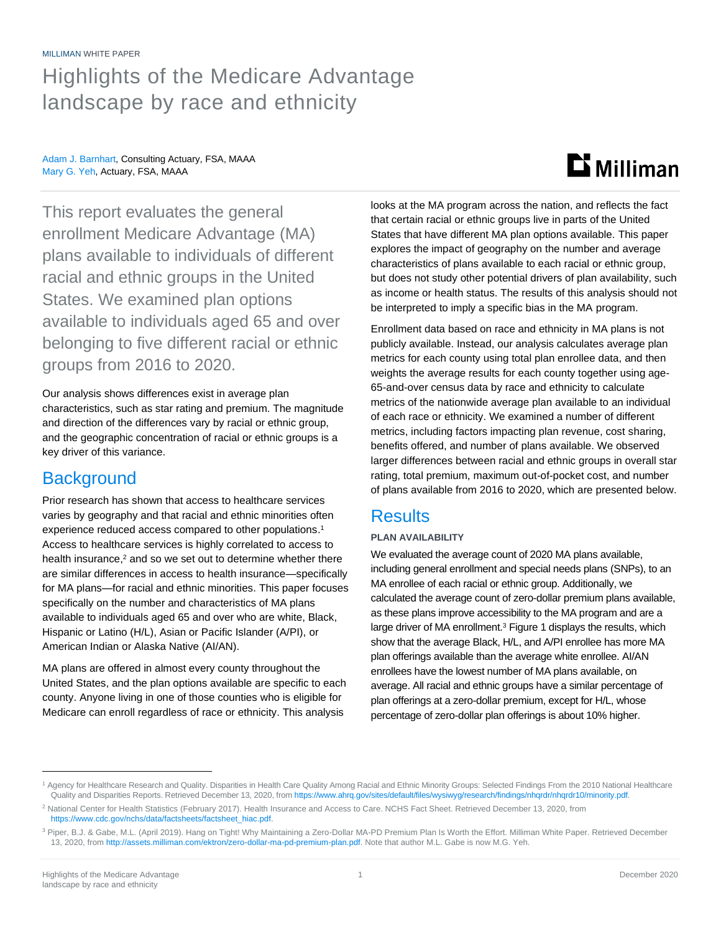#### MILLIMAN WHITE PAPER

## Highlights of the Medicare Advantage landscape by race and ethnicity

Adam J. Barnhart, Consulting Actuary, FSA, MAAA Mary G. Yeh, Actuary, FSA, MAAA

# **Li** Milliman

This report evaluates the general enrollment Medicare Advantage (MA) plans available to individuals of different racial and ethnic groups in the United States. We examined plan options available to individuals aged 65 and over belonging to five different racial or ethnic groups from 2016 to 2020.

Our analysis shows differences exist in average plan characteristics, such as star rating and premium. The magnitude and direction of the differences vary by racial or ethnic group, and the geographic concentration of racial or ethnic groups is a key driver of this variance.

## **Background**

Prior research has shown that access to healthcare services varies by geography and that racial and ethnic minorities often experience reduced access compared to other populations. 1 Access to healthcare services is highly correlated to access to health insurance, <sup>2</sup> and so we set out to determine whether there are similar differences in access to health insurance—specifically for MA plans—for racial and ethnic minorities. This paper focuses specifically on the number and characteristics of MA plans available to individuals aged 65 and over who are white, Black, Hispanic or Latino (H/L), Asian or Pacific Islander (A/PI), or American Indian or Alaska Native (AI/AN).

MA plans are offered in almost every county throughout the United States, and the plan options available are specific to each county. Anyone living in one of those counties who is eligible for Medicare can enroll regardless of race or ethnicity. This analysis

looks at the MA program across the nation, and reflects the fact that certain racial or ethnic groups live in parts of the United States that have different MA plan options available. This paper explores the impact of geography on the number and average characteristics of plans available to each racial or ethnic group, but does not study other potential drivers of plan availability, such as income or health status. The results of this analysis should not be interpreted to imply a specific bias in the MA program.

Enrollment data based on race and ethnicity in MA plans is not publicly available. Instead, our analysis calculates average plan metrics for each county using total plan enrollee data, and then weights the average results for each county together using age-65-and-over census data by race and ethnicity to calculate metrics of the nationwide average plan available to an individual of each race or ethnicity. We examined a number of different metrics, including factors impacting plan revenue, cost sharing, benefits offered, and number of plans available. We observed larger differences between racial and ethnic groups in overall star rating, total premium, maximum out-of-pocket cost, and number of plans available from 2016 to 2020, which are presented below.

## **Results**

#### **PLAN AVAILABILITY**

We evaluated the average count of 2020 MA plans available, including general enrollment and special needs plans (SNPs), to an MA enrollee of each racial or ethnic group. Additionally, we calculated the average count of zero-dollar premium plans available, as these plans improve accessibility to the MA program and are a large driver of MA enrollment.<sup>3</sup> Figure 1 displays the results, which show that the average Black, H/L, and A/PI enrollee has more MA plan offerings available than the average white enrollee. AI/AN enrollees have the lowest number of MA plans available, on average. All racial and ethnic groups have a similar percentage of plan offerings at a zero-dollar premium, except for H/L, whose percentage of zero-dollar plan offerings is about 10% higher.

<sup>1</sup> Agency for Healthcare Research and Quality. Disparities in Health Care Quality Among Racial and Ethnic Minority Groups: Selected Findings From the 2010 National Healthcare Quality and Disparities Reports. Retrieved December 13, 2020, fro[m https://www.ahrq.gov/sites/default/files/wysiwyg/research/findings/nhqrdr/nhqrdr10/minority.pdf.](https://www.ahrq.gov/sites/default/files/wysiwyg/research/findings/nhqrdr/nhqrdr10/minority.pdf)

<sup>2</sup> National Center for Health Statistics (February 2017). Health Insurance and Access to Care. NCHS Fact Sheet. Retrieved December 13, 2020, from [https://www.cdc.gov/nchs/data/factsheets/factsheet\\_hiac.pdf.](https://www.cdc.gov/nchs/data/factsheets/factsheet_hiac.pdf)

<sup>&</sup>lt;sup>3</sup> Piper, B.J. & Gabe, M.L. (April 2019). Hang on Tight! Why Maintaining a Zero-Dollar MA-PD Premium Plan Is Worth the Effort. Milliman White Paper. Retrieved December 13, 2020, fro[m http://assets.milliman.com/ektron/zero-dollar-ma-pd-premium-plan.pdf.](http://assets.milliman.com/ektron/zero-dollar-ma-pd-premium-plan.pdf) Note that author M.L. Gabe is now M.G. Yeh.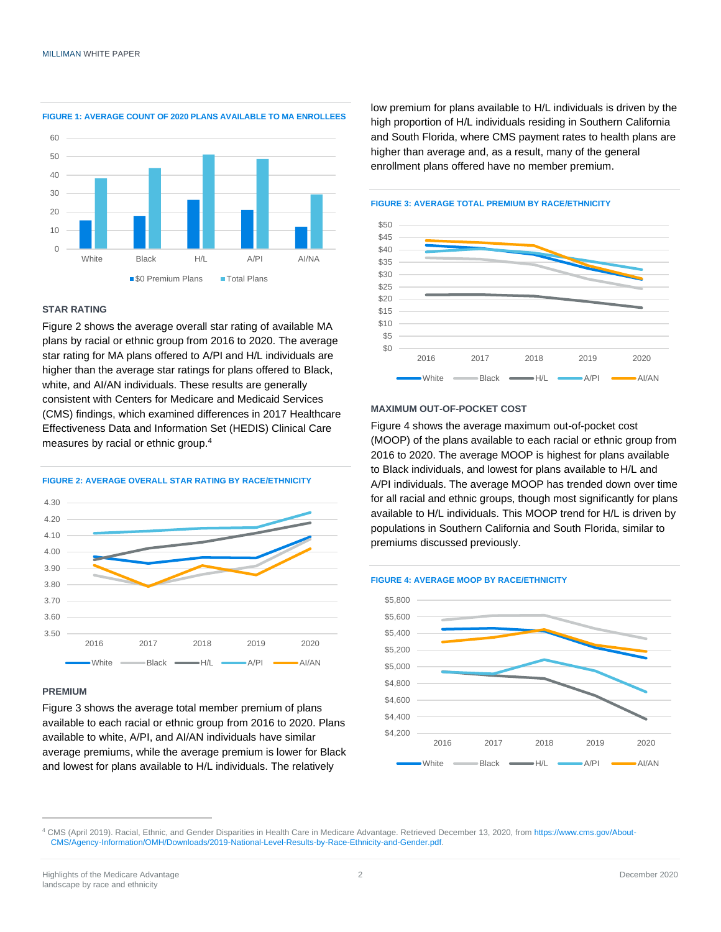

**FIGURE 1: AVERAGE COUNT OF 2020 PLANS AVAILABLE TO MA ENROLLEES**

#### **STAR RATING**

Figure 2 shows the average overall star rating of available MA plans by racial or ethnic group from 2016 to 2020. The average star rating for MA plans offered to A/PI and H/L individuals are higher than the average star ratings for plans offered to Black, white, and AI/AN individuals. These results are generally consistent with Centers for Medicare and Medicaid Services (CMS) findings, which examined differences in 2017 Healthcare Effectiveness Data and Information Set (HEDIS) Clinical Care measures by racial or ethnic group.<sup>4</sup>

**FIGURE 2: AVERAGE OVERALL STAR RATING BY RACE/ETHNICITY**



#### **PREMIUM**

Figure 3 shows the average total member premium of plans available to each racial or ethnic group from 2016 to 2020. Plans available to white, A/PI, and AI/AN individuals have similar average premiums, while the average premium is lower for Black and lowest for plans available to H/L individuals. The relatively

low premium for plans available to H/L individuals is driven by the high proportion of H/L individuals residing in Southern California and South Florida, where CMS payment rates to health plans are higher than average and, as a result, many of the general enrollment plans offered have no member premium.



#### **FIGURE 3: AVERAGE TOTAL PREMIUM BY RACE/ETHNICITY**



Figure 4 shows the average maximum out-of-pocket cost (MOOP) of the plans available to each racial or ethnic group from 2016 to 2020. The average MOOP is highest for plans available to Black individuals, and lowest for plans available to H/L and A/PI individuals. The average MOOP has trended down over time for all racial and ethnic groups, though most significantly for plans available to H/L individuals. This MOOP trend for H/L is driven by populations in Southern California and South Florida, similar to premiums discussed previously.





<sup>4</sup> CMS (April 2019). Racial, Ethnic, and Gender Disparities in Health Care in Medicare Advantage. Retrieved December 13, 2020, fro[m https://www.cms.gov/About-](https://www.cms.gov/About-CMS/Agency-Information/OMH/Downloads/2019-National-Level-Results-by-Race-Ethnicity-and-Gender.pdf)[CMS/Agency-Information/OMH/Downloads/2019-National-Level-Results-by-Race-Ethnicity-and-Gender.pdf.](https://www.cms.gov/About-CMS/Agency-Information/OMH/Downloads/2019-National-Level-Results-by-Race-Ethnicity-and-Gender.pdf)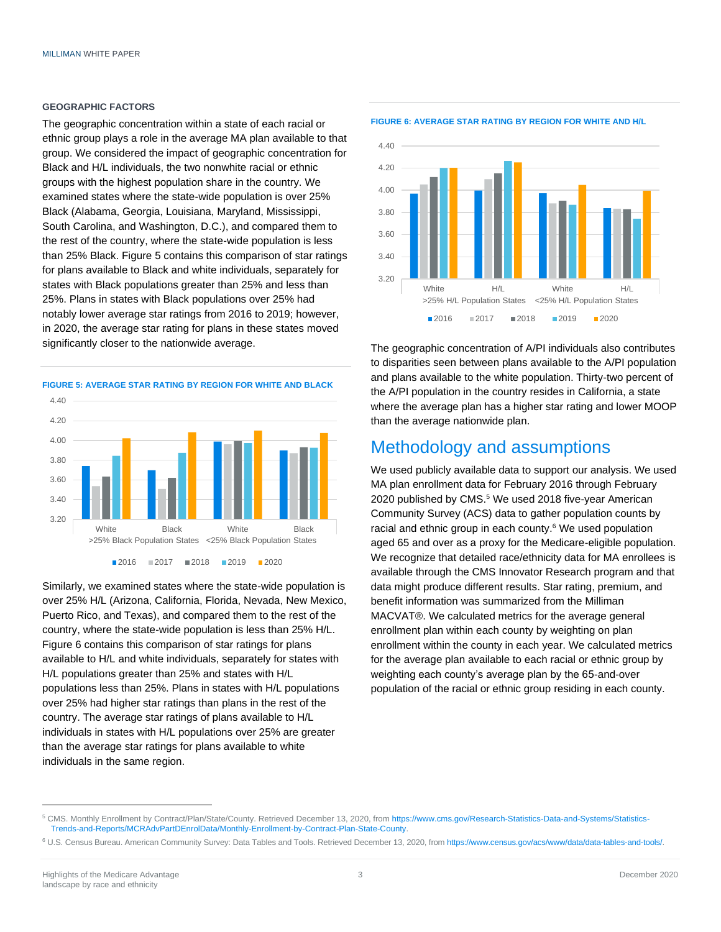#### **GEOGRAPHIC FACTORS**

The geographic concentration within a state of each racial or ethnic group plays a role in the average MA plan available to that group. We considered the impact of geographic concentration for Black and H/L individuals, the two nonwhite racial or ethnic groups with the highest population share in the country. We examined states where the state-wide population is over 25% Black (Alabama, Georgia, Louisiana, Maryland, Mississippi, South Carolina, and Washington, D.C.), and compared them to the rest of the country, where the state-wide population is less than 25% Black. Figure 5 contains this comparison of star ratings for plans available to Black and white individuals, separately for states with Black populations greater than 25% and less than 25%. Plans in states with Black populations over 25% had notably lower average star ratings from 2016 to 2019; however, in 2020, the average star rating for plans in these states moved significantly closer to the nationwide average.

#### **FIGURE 5: AVERAGE STAR RATING BY REGION FOR WHITE AND BLACK**



Similarly, we examined states where the state-wide population is over 25% H/L (Arizona, California, Florida, Nevada, New Mexico, Puerto Rico, and Texas), and compared them to the rest of the country, where the state-wide population is less than 25% H/L. Figure 6 contains this comparison of star ratings for plans available to H/L and white individuals, separately for states with H/L populations greater than 25% and states with H/L populations less than 25%. Plans in states with H/L populations over 25% had higher star ratings than plans in the rest of the country. The average star ratings of plans available to H/L individuals in states with H/L populations over 25% are greater than the average star ratings for plans available to white individuals in the same region.





The geographic concentration of A/PI individuals also contributes to disparities seen between plans available to the A/PI population and plans available to the white population. Thirty-two percent of the A/PI population in the country resides in California, a state where the average plan has a higher star rating and lower MOOP than the average nationwide plan.

### Methodology and assumptions

We used publicly available data to support our analysis. We used MA plan enrollment data for February 2016 through February 2020 published by CMS.<sup>5</sup> We used 2018 five-year American Community Survey (ACS) data to gather population counts by racial and ethnic group in each county.<sup>6</sup> We used population aged 65 and over as a proxy for the Medicare-eligible population. We recognize that detailed race/ethnicity data for MA enrollees is available through the CMS Innovator Research program and that data might produce different results. Star rating, premium, and benefit information was summarized from the Milliman MACVAT®. We calculated metrics for the average general enrollment plan within each county by weighting on plan enrollment within the county in each year. We calculated metrics for the average plan available to each racial or ethnic group by weighting each county's average plan by the 65-and-over population of the racial or ethnic group residing in each county.

<sup>5</sup> CMS. Monthly Enrollment by Contract/Plan/State/County. Retrieved December 13, 2020, from [https://www.cms.gov/Research-Statistics-Data-and-Systems/Statistics-](https://www.cms.gov/Research-Statistics-Data-and-Systems/Statistics-Trends-and-Reports/MCRAdvPartDEnrolData/Monthly-Enrollment-by-Contract-Plan-State-County)[Trends-and-Reports/MCRAdvPartDEnrolData/Monthly-Enrollment-by-Contract-Plan-State-County.](https://www.cms.gov/Research-Statistics-Data-and-Systems/Statistics-Trends-and-Reports/MCRAdvPartDEnrolData/Monthly-Enrollment-by-Contract-Plan-State-County)

<sup>6</sup> U.S. Census Bureau. American Community Survey: Data Tables and Tools. Retrieved December 13, 2020, fro[m https://www.census.gov/acs/www/data/data-tables-and-tools/.](https://www.census.gov/acs/www/data/data-tables-and-tools/)